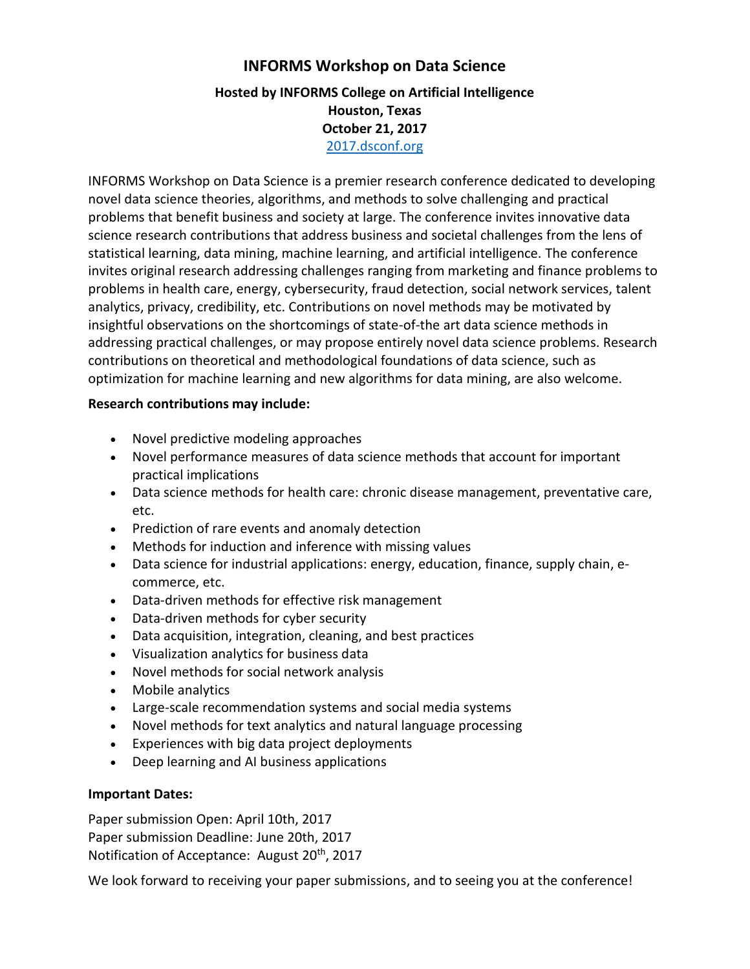# **INFORMS Workshop on Data Science Hosted by INFORMS College on Artificial Intelligence Houston, Texas October 21, 2017** [2017.dsconf.org](http://2017.dsconf.org/)

INFORMS Workshop on Data Science is a premier research conference dedicated to developing novel data science theories, algorithms, and methods to solve challenging and practical problems that benefit business and society at large. The conference invites innovative data science research contributions that address business and societal challenges from the lens of statistical learning, data mining, machine learning, and artificial intelligence. The conference invites original research addressing challenges ranging from marketing and finance problems to problems in health care, energy, cybersecurity, fraud detection, social network services, talent analytics, privacy, credibility, etc. Contributions on novel methods may be motivated by insightful observations on the shortcomings of state-of-the art data science methods in addressing practical challenges, or may propose entirely novel data science problems. Research contributions on theoretical and methodological foundations of data science, such as optimization for machine learning and new algorithms for data mining, are also welcome.

## **Research contributions may include:**

- Novel predictive modeling approaches
- Novel performance measures of data science methods that account for important practical implications
- Data science methods for health care: chronic disease management, preventative care, etc.
- Prediction of rare events and anomaly detection
- Methods for induction and inference with missing values
- Data science for industrial applications: energy, education, finance, supply chain, ecommerce, etc.
- Data-driven methods for effective risk management
- Data-driven methods for cyber security
- Data acquisition, integration, cleaning, and best practices
- Visualization analytics for business data
- Novel methods for social network analysis
- Mobile analytics
- Large-scale recommendation systems and social media systems
- Novel methods for text analytics and natural language processing
- Experiences with big data project deployments
- Deep learning and AI business applications

# **Important Dates:**

Paper submission Open: April 10th, 2017 Paper submission Deadline: June 20th, 2017 Notification of Acceptance: August 20<sup>th</sup>, 2017

We look forward to receiving your paper submissions, and to seeing you at the conference!